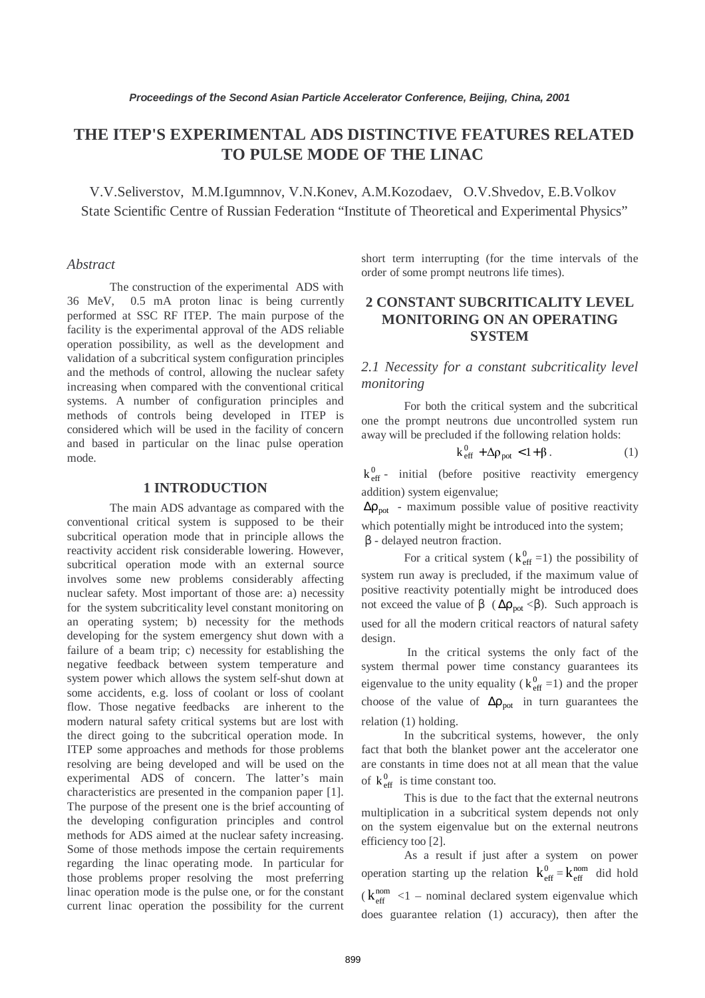# **THE ITEP'S EXPERIMENTAL ADS DISTINCTIVE FEATURES RELATED TO PULSE MODE OF THE LINAC**

V.V.Seliverstov, M.M.Igumnnov, V.N.Konev, A.M.Kozodaev, O.V.Shvedov, E.B.Volkov State Scientific Centre of Russian Federation "Institute of Theoretical and Experimental Physics"

#### *Abstract*

The construction of the experimental ADS with 36 MeV, 0.5 mA proton linac is being currently performed at SSC RF ITEP. The main purpose of the facility is the experimental approval of the ADS reliable operation possibility, as well as the development and validation of a subcritical system configuration principles and the methods of control, allowing the nuclear safety increasing when compared with the conventional critical systems. A number of configuration principles and methods of controls being developed in ITEP is considered which will be used in the facility of concern and based in particular on the linac pulse operation mode.

#### **1 INTRODUCTION**

The main ADS advantage as compared with the conventional critical system is supposed to be their subcritical operation mode that in principle allows the reactivity accident risk considerable lowering. However, subcritical operation mode with an external source involves some new problems considerably affecting nuclear safety. Most important of those are: a) necessity for the system subcriticality level constant monitoring on an operating system; b) necessity for the methods developing for the system emergency shut down with a failure of a beam trip; c) necessity for establishing the negative feedback between system temperature and system power which allows the system self-shut down at some accidents, e.g. loss of coolant or loss of coolant flow. Those negative feedbacks are inherent to the modern natural safety critical systems but are lost with the direct going to the subcritical operation mode. In ITEP some approaches and methods for those problems resolving are being developed and will be used on the experimental ADS of concern. The latter's main characteristics are presented in the companion paper [1]. The purpose of the present one is the brief accounting of the developing configuration principles and control methods for ADS aimed at the nuclear safety increasing. Some of those methods impose the certain requirements regarding the linac operating mode. In particular for those problems proper resolving the most preferring linac operation mode is the pulse one, or for the constant current linac operation the possibility for the current

short term interrupting (for the time intervals of the order of some prompt neutrons life times).

# **2 CONSTANT SUBCRITICALITY LEVEL MONITORING ON AN OPERATING SYSTEM**

*2.1 Necessity for a constant subcriticality level monitoring* 

For both the critical system and the subcritical one the prompt neutrons due uncontrolled system run away will be precluded if the following relation holds:

$$
k_{\text{eff}}^0 + \Delta \rho_{\text{pot}} < 1 + \beta \,. \tag{1}
$$

 $k_{\text{eff}}^0$  - initial (before positive reactivity emergency addition) system eigenvalue;

 $\Delta p_{pot}$  - maximum possible value of positive reactivity which potentially might be introduced into the system; β - delayed neutron fraction.

For a critical system ( $k_{\text{eff}}^0$  =1) the possibility of system run away is precluded, if the maximum value of positive reactivity potentially might be introduced does not exceed the value of β ( $\Delta \rho_{pot} < \beta$ ). Such approach is used for all the modern critical reactors of natural safety design.

 In the critical systems the only fact of the system thermal power time constancy guarantees its eigenvalue to the unity equality ( $k_{\text{eff}}^0$  =1) and the proper choose of the value of  $\Delta \rho_{\text{not}}$  in turn guarantees the relation (1) holding.

In the subcritical systems, however, the only fact that both the blanket power ant the accelerator one are constants in time does not at all mean that the value of  $k_{\text{eff}}^0$  is time constant too.

This is due to the fact that the external neutrons multiplication in a subcritical system depends not only on the system eigenvalue but on the external neutrons efficiency too [2].

As a result if just after a system on power operation starting up the relation  $k_{\text{eff}}^0 = k_{\text{eff}}^{\text{nom}}$  did hold  $(k_{\text{eff}}^{\text{nom}} < 1$  – nominal declared system eigenvalue which does guarantee relation (1) accuracy), then after the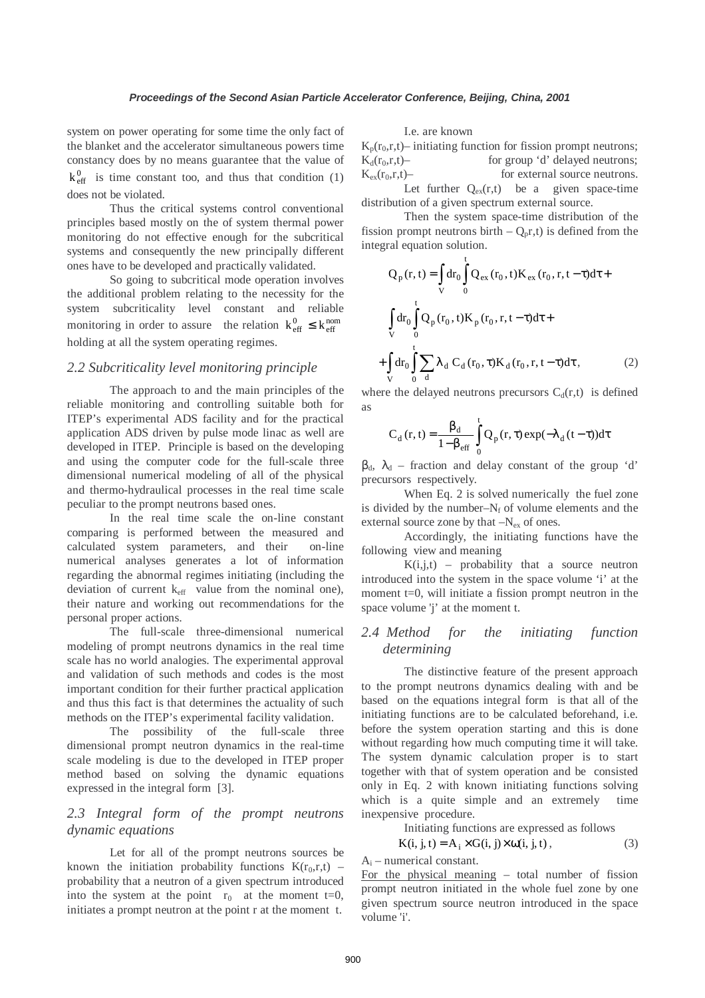system on power operating for some time the only fact of the blanket and the accelerator simultaneous powers time constancy does by no means guarantee that the value of  $k_{\text{eff}}^0$  is time constant too, and thus that condition (1) does not be violated.

Thus the critical systems control conventional principles based mostly on the of system thermal power monitoring do not effective enough for the subcritical systems and consequently the new principally different ones have to be developed and practically validated.

So going to subcritical mode operation involves the additional problem relating to the necessity for the system subcriticality level constant and reliable monitoring in order to assure the relation  $k_{\text{eff}}^0 \leq k_{\text{eff}}^{\text{nom}}$ holding at all the system operating regimes.

#### *2.2 Subcriticality level monitoring principle*

The approach to and the main principles of the reliable monitoring and controlling suitable both for ITEP's experimental ADS facility and for the practical application ADS driven by pulse mode linac as well are developed in ITEP. Principle is based on the developing and using the computer code for the full-scale three dimensional numerical modeling of all of the physical and thermo-hydraulical processes in the real time scale peculiar to the prompt neutrons based ones.

In the real time scale the on-line constant comparing is performed between the measured and calculated system parameters, and their on-line numerical analyses generates a lot of information regarding the abnormal regimes initiating (including the deviation of current  $k_{\text{eff}}$  value from the nominal one), their nature and working out recommendations for the personal proper actions.

The full-scale three-dimensional numerical modeling of prompt neutrons dynamics in the real time scale has no world analogies. The experimental approval and validation of such methods and codes is the most important condition for their further practical application and thus this fact is that determines the actuality of such methods on the ITEP's experimental facility validation.

The possibility of the full-scale three dimensional prompt neutron dynamics in the real-time scale modeling is due to the developed in ITEP proper method based on solving the dynamic equations expressed in the integral form [3].

## *2.3 Integral form of the prompt neutrons dynamic equations*

Let for all of the prompt neutrons sources be known the initiation probability functions  $K(r_0,r,t)$  – probability that a neutron of a given spectrum introduced into the system at the point  $r_0$  at the moment t=0, initiates a prompt neutron at the point r at the moment t.

#### I.e. are known

 $K_p(r_0,r,t)$ – initiating function for fission prompt neutrons;  $K_d(r_0, r, t)$ – for group 'd' delayed neutrons;  $K_{ex}(r_0,r,t)$ – for external source neutrons. Let further  $Q_{ex}(r,t)$  be a given space-time distribution of a given spectrum external source.

Then the system space-time distribution of the fission prompt neutrons birth  $-Q<sub>p</sub>r,t$ ) is defined from the integral equation solution.

$$
Q_{p}(r, t) = \int_{V} dr_{0} \int_{0}^{t} Q_{ex}(r_{0}, t) K_{ex}(r_{0}, r, t - \tau) d\tau +
$$
  

$$
\int_{V} dr_{0} \int_{0}^{t} Q_{p}(r_{0}, t) K_{p}(r_{0}, r, t - \tau) d\tau +
$$
  

$$
+ \int_{V} dr_{0} \int_{0}^{t} \sum_{d} \lambda_{d} C_{d}(r_{0}, \tau) K_{d}(r_{0}, r, t - \tau) d\tau,
$$
 (2)

where the delayed neutrons precursors  $C_d(r,t)$  is defined as

$$
C_{d}(r, t) = \frac{\beta_{d}}{1 - \beta_{eff}} \int_{0}^{t} Q_{p}(r, \tau) \exp(-\lambda_{d}(t - \tau)) d\tau
$$

 $β_d$ ,  $λ_d$  – fraction and delay constant of the group 'd' precursors respectively.

 When Eq. 2 is solved numerically the fuel zone is divided by the number– $N_f$  of volume elements and the external source zone by that  $-N_{ex}$  of ones.

Accordingly, the initiating functions have the following view and meaning

 $K(i,j,t)$  – probability that a source neutron introduced into the system in the space volume 'i' at the moment  $t=0$ , will initiate a fission prompt neutron in the space volume 'j' at the moment t.

# *2.4 Method for the initiating function determining*

The distinctive feature of the present approach to the prompt neutrons dynamics dealing with and be based on the equations integral form is that all of the initiating functions are to be calculated beforehand, i.e. before the system operation starting and this is done without regarding how much computing time it will take. The system dynamic calculation proper is to start together with that of system operation and be consisted only in Eq. 2 with known initiating functions solving which is a quite simple and an extremely time inexpensive procedure.

Initiating functions are expressed as follows

$$
K(i, j, t) = A_i \times G(i, j) \times \omega(i, j, t), \qquad (3)
$$

 $A_i$  – numerical constant.

For the physical meaning – total number of fission prompt neutron initiated in the whole fuel zone by one given spectrum source neutron introduced in the space volume 'i'.